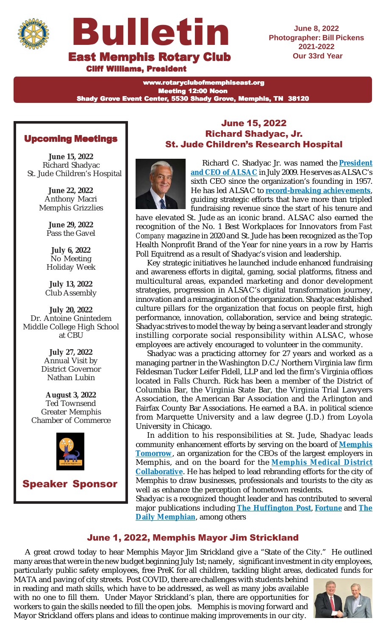



**June 8, 2022 Photographer: Bill Pickens Our 33rd Year**

**Cliff Williams, President** 

www.rotaryclubofmemphiseast.org Meeting 12:00 Noon Shady Grove Event Center, 5530 Shady Grove, Memphis, TN 38120

# Upcoming Meetings

**June 15, 2022** Richard Shadyac St. Jude Children's Hospital

> **June 22, 2022** Anthony Macri Memphis Grizzlies

> > **June 29, 2022** Pass the Gavel

> > **July 6, 2022** No Meeting Holiday Week

**July 13, 2022** Club Assembly

**July 20, 2022** Dr. Antoine Gnintedem Middle College High School at CBU

> **July 27, 2022** Annual Visit by District Governor Nathan Lubin

**August 3, 2022** Ted Townsend Greater Memphis Chamber of Commerce



Speaker Sponsor

#### June 15, 2022 Richard Shadyac, Jr. St. Jude Children's Research Hospital Richard C. Shadyac Jr.



Richard C. Shadyac Jr. was named the **President and CEO of ALSAC** in July 2009. He serves as ALSAC's sixth CEO since the organization's founding in 1957. He has led ALSAC to **record-breaking achievements**, guiding strategic efforts that have more than tripled fundraising revenue since the start of his tenure and

have elevated St. Jude as an iconic brand. ALSAC also earned the recognition of the No. 1 Best Workplaces for Innovators from *Fast Company* magazine in 2020 and St. Jude has been recognized as the Top Health Nonprofit Brand of the Year for nine years in a row by Harris Poll Equitrend as a result of Shadyac's vision and leadership.

Key strategic initiatives he launched include enhanced fundraising and awareness efforts in digital, gaming, social platforms, fitness and multicultural areas, expanded marketing and donor development strategies, progression in ALSAC's digital transformation journey, innovation and a reimagination of the organization. Shadyac established culture pillars for the organization that focus on people first, high performance, innovation, collaboration, service and being strategic. Shadyac strives to model the way by being a servant leader and strongly instilling corporate social responsibility within ALSAC, whose employees are actively encouraged to volunteer in the community.

Shadyac was a practicing attorney for 27 years and worked as a managing partner in the Washington D.C./Northern Virginia law firm Feldesman Tucker Leifer Fidell, LLP and led the firm's Virginia offices located in Falls Church. Rick has been a member of the District of Columbia Bar, the Virginia State Bar, the Virginia Trial Lawyers Association, the American Bar Association and the Arlington and Fairfax County Bar Associations. He earned a B.A. in political science from Marquette University and a law degree (J.D.) from Loyola University in Chicago.

In addition to his responsibilities at St. Jude, Shadyac leads community enhancement efforts by serving on the board of **Memphis Tomorrow**, an organization for the CEOs of the largest employers in Memphis, and on the board for the **Memphis Medical District Collaborative**. He has helped to lead rebranding efforts for the city of Memphis to draw businesses, professionals and tourists to the city as well as enhance the perception of hometown residents.

Shadyac is a recognized thought leader and has contributed to several major publications including **The Huffington Post**, **Fortune** and **The Daily Memphian**, among others

# June 1, 2022, Memphis Mayor Jim Strickland

A great crowd today to hear Memphis Mayor Jim Strickland give a "State of the City." He outlined many areas that were in the new budget beginning July 1st; namely, significant investment in city employees, particularly public safety employees, free PreK for all children, tackling blight areas, dedicated funds for

MATA and paving of city streets. Post COVID, there are challenges with students behind in reading and math skills, which have to be addressed, as well as many jobs available with no one to fill them. Under Mayor Strickland's plan, there are opportunities for workers to gain the skills needed to fill the open jobs. Memphis is moving forward and Mayor Strickland offers plans and ideas to continue making improvements in our city.